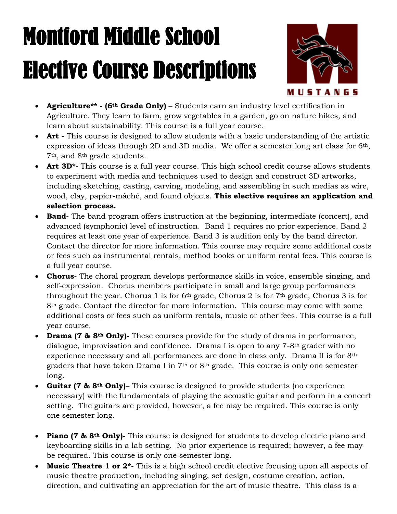## Montford Middle School Elective Course Descriptions



- **Agriculture\*\* - (6th Grade Only)** Students earn an industry level certification in Agriculture. They learn to farm, grow vegetables in a garden, go on nature hikes, and learn about sustainability. This course is a full year course.
- **Art** This course is designed to allow students with a basic understanding of the artistic expression of ideas through 2D and 3D media. We offer a semester long art class for 6th, 7th, and 8th grade students.
- **Art 3D\*-** This course is a full year course. This high school credit course allows students to experiment with media and techniques used to design and construct 3D artworks, including sketching, casting, carving, modeling, and assembling in such medias as wire, wood, clay, papier-mâché, and found objects. **This elective requires an application and selection process.**
- **Band-** The band program offers instruction at the beginning, intermediate (concert), and advanced (symphonic) level of instruction. Band 1 requires no prior experience. Band 2 requires at least one year of experience. Band 3 is audition only by the band director. Contact the director for more information. This course may require some additional costs or fees such as instrumental rentals, method books or uniform rental fees. This course is a full year course.
- **Chorus-** The choral program develops performance skills in voice, ensemble singing, and self-expression. Chorus members participate in small and large group performances throughout the year. Chorus 1 is for  $6<sup>th</sup>$  grade, Chorus 2 is for  $7<sup>th</sup>$  grade, Chorus 3 is for 8th grade. Contact the director for more information. This course may come with some additional costs or fees such as uniform rentals, music or other fees. This course is a full year course.
- **Drama (7 & 8th Only)-** These courses provide for the study of drama in performance, dialogue, improvisation and confidence. Drama I is open to any 7-8th grader with no experience necessary and all performances are done in class only. Drama II is for 8<sup>th</sup> graders that have taken Drama I in  $7<sup>th</sup>$  or  $8<sup>th</sup>$  grade. This course is only one semester long.
- **Guitar (7 & 8th Only)–** This course is designed to provide students (no experience necessary) with the fundamentals of playing the acoustic guitar and perform in a concert setting. The guitars are provided, however, a fee may be required. This course is only one semester long.
- **Piano (7 & 8th Only)-** This course is designed for students to develop electric piano and keyboarding skills in a lab setting. No prior experience is required; however, a fee may be required. This course is only one semester long.
- **Music Theatre 1 or 2<sup>\*</sup>-** This is a high school credit elective focusing upon all aspects of music theatre production, including singing, set design, costume creation, action, direction, and cultivating an appreciation for the art of music theatre. This class is a